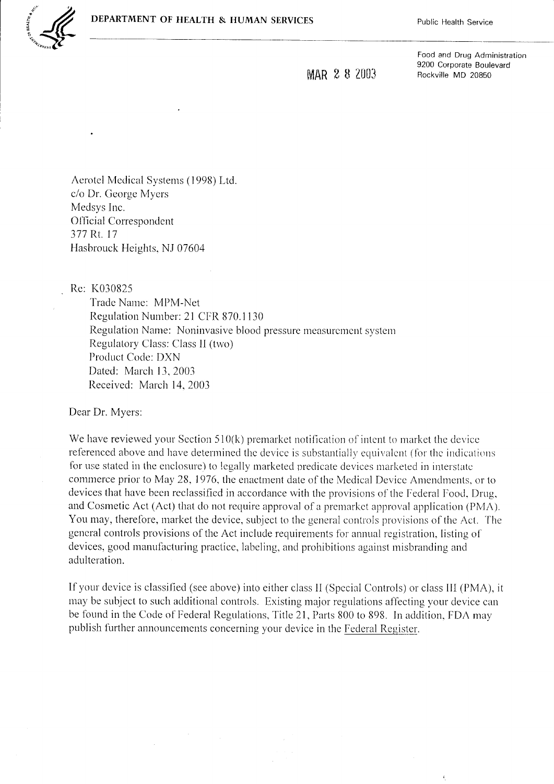

MAR 2 8 2003

Food and Drug Administration 9200 Corporate Boulevard Rockville MD 20850

Aerotel Medical Systems (1998) Ltd. c/o Dr. George Myers Medsys Inc. **Official Correspondent** 377 Rt. 17 Hasbrouck Heights, NJ 07604

Re: K030825

Trade Name: MPM-Net Regulation Number: 21 CFR 870.1130 Regulation Name: Noninvasive blood pressure measurement system Regulatory Class: Class II (two) Product Code: DXN Dated: March 13, 2003 Received: March 14, 2003

Dear Dr. Myers:

We have reviewed your Section 510(k) premarket notification of intent to market the device referenced above and have determined the device is substantially equivalent (for the indications for use stated in the enclosure) to legally marketed predicate devices marketed in interstate commerce prior to May 28, 1976, the enactment date of the Medical Device Amendments, or to devices that have been reclassified in accordance with the provisions of the Federal Food, Drug, and Cosmetic Act (Act) that do not require approval of a premarket approval application (PMA). You may, therefore, market the device, subject to the general controls provisions of the Act. The general controls provisions of the Act include requirements for annual registration, listing of devices, good manufacturing practice, labeling, and prohibitions against misbranding and adulteration.

If your device is classified (see above) into either class II (Special Controls) or class III (PMA), it may be subject to such additional controls. Existing major regulations affecting your device can be found in the Code of Federal Regulations, Title 21, Parts 800 to 898. In addition, FDA may publish further announcements concerning your device in the Federal Register.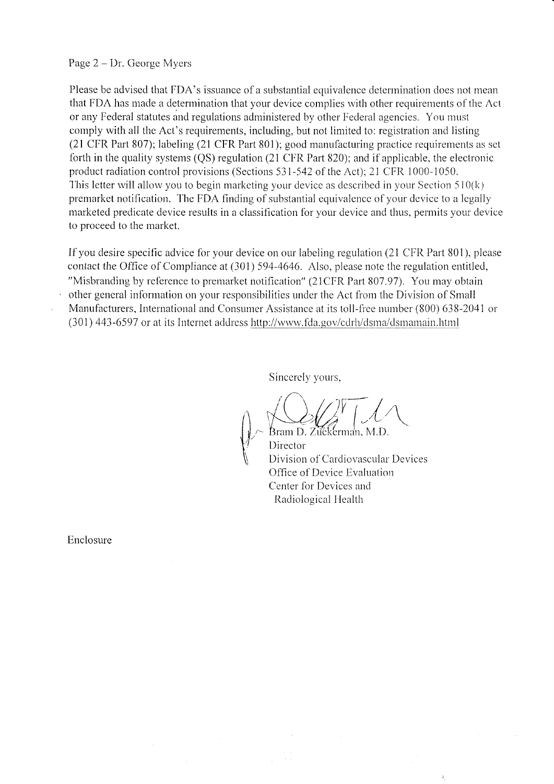## Page  $2 - Dr$ . George Myers

Please be advised that FDA's issuance of a substantial equivalence determination does not mean that FDA has made a determination that your device complies with other requirements of the Act or any Federal statutes and regulations administered by other Federal agencies. You must comply with all the Act's requirements, including, but not limited to: registration and listing (21 CFR Part 807); labeling (21 CFR Part 801); good manufacturing practice requirements as set forth in the quality systems (QS) regulation (21 CFR Part 820); and if applicable, the electronic product radiation control provisions (Sections 531-542 of the Act); 21 CFR 1000-1050. This letter will allow you to begin marketing your device as described in your Section 510(k) premarket notification. The FDA finding of substantial equivalence of your device to a legally marketed predicate device results in a classification for your device and thus, permits your device to proceed to the market.

If you desire specific advice for your device on our labeling regulation (21 CFR Part 801), please contact the Office of Compliance at (301) 594-4646. Also, please note the regulation entitled, "Misbranding by reference to premarket notification" (21CFR Part 807.97). You may obtain other general information on your responsibilities under the Act from the Division of Small Manufacturers, International and Consumer Assistance at its toll-free number (800) 638-2041 or (301) 443-6597 or at its Internet address http://www.fda.gov/cdrh/dsma/dsmamain.html

Sincerely yours,

Bram D. Zũčkerma'n, M.D. Director Division of Cardiovascular Devices Office of Device Evaluation Center for Devices and Radiological Health

Enclosure

 $\bar{z}$